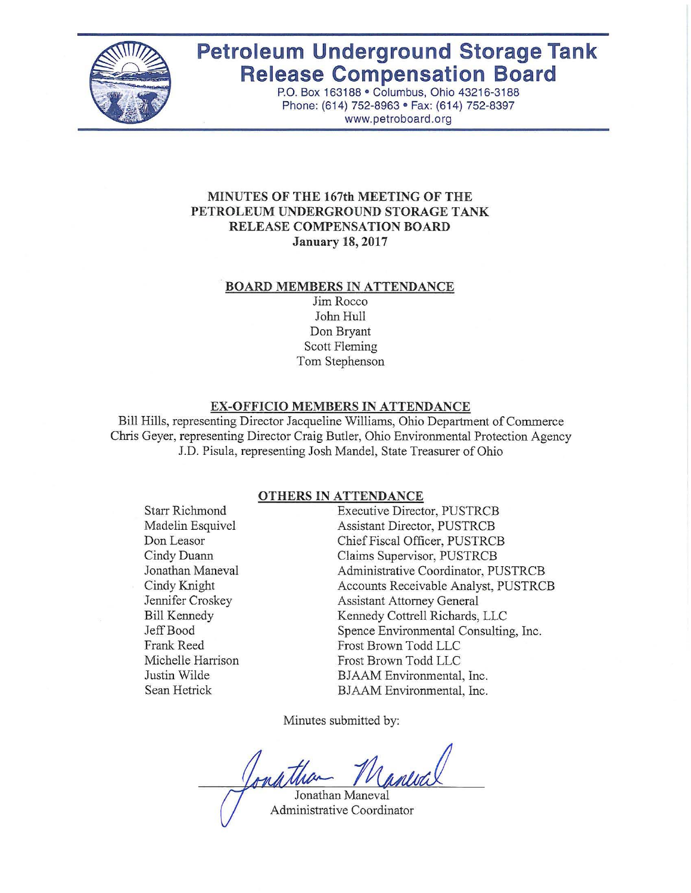

# **Petroleum Underground Storage Tank Release Compensation Board**

P.O. Box 163188 · Columbus, Ohio 43216-3188 Phone: (614) 752-8963 · Fax: (614) 752-8397 www.petroboard.org

#### **MINUTES OF THE 167th MEETING OF THE PETROLEUM UNDERGROUND STORAGE TANK RELEASE COMPENSATION BOARD January 18, 2017**

#### .**BOARD MEMBERS IN ATTENDANCE**

Jim Rocco John Hull Don Bryant Scott Fleming Tom Stephenson

#### **EX-OFFICIO MEMBERS IN ATTENDANCE**

Bill Hills, representing Director Jacqueline Williams, Ohio Department ofCommerce Chris Geyer, representing Director Craig Butler, Ohio Environmental Protection Agency J.D. Pisula, representing Josh Mandel, State Treasurer of Ohio

#### **OTHERS IN ATTENDANCE**

Starr Richmond Madelin Esquivel Don Leasor Cindy Duann Jonathan Maneval Cindy Knight Jennifer Croskey Bill Kennedy Jeff Bood Frank Reed Michelle Harrison Justin Wilde Sean Hetrick

Executive Director, PUSTRCB Assistant Director, PUSTRCB Chief Fiscal Officer, PUSTRCB Claims Supervisor, PUSTRCB Administrative Coordinator, PUSTRCB Accounts Receivable Analyst, PUSTRCB Assistant Attorney General Kennedy Cottrell Richards, LLC Spence Environmental Consulting, Inc. Frost Brown Todd LLC Frost Brown Todd LLC BJAAM Environmental, Inc. BJAAM Environmental, Inc.

Minutes submitted by:

Jonathan Maneval Administrative Coordinator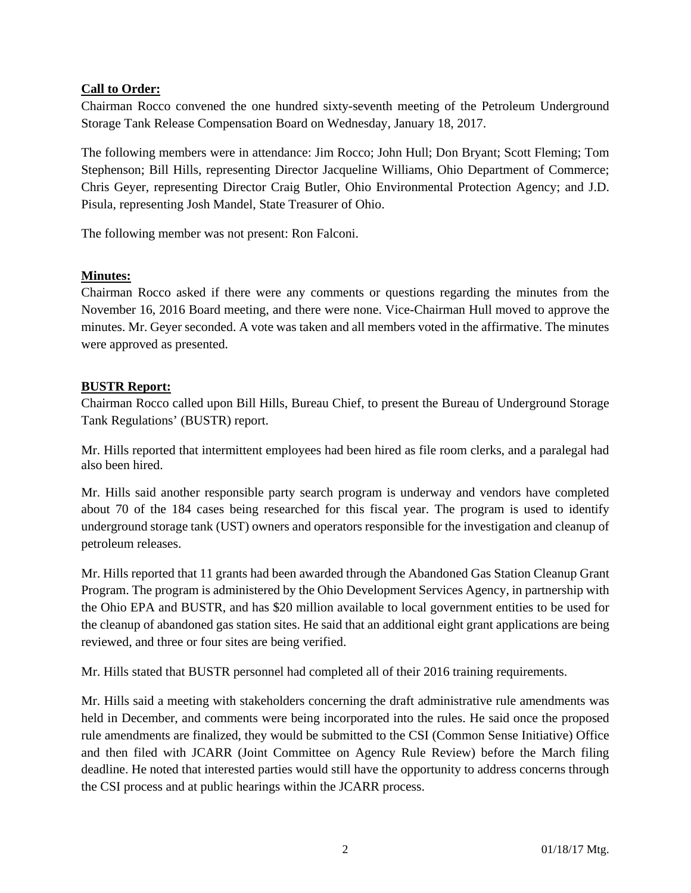## **Call to Order:**

Chairman Rocco convened the one hundred sixty-seventh meeting of the Petroleum Underground Storage Tank Release Compensation Board on Wednesday, January 18, 2017.

The following members were in attendance: Jim Rocco; John Hull; Don Bryant; Scott Fleming; Tom Stephenson; Bill Hills, representing Director Jacqueline Williams, Ohio Department of Commerce; Chris Geyer, representing Director Craig Butler, Ohio Environmental Protection Agency; and J.D. Pisula, representing Josh Mandel, State Treasurer of Ohio.

The following member was not present: Ron Falconi.

## **Minutes:**

Chairman Rocco asked if there were any comments or questions regarding the minutes from the November 16, 2016 Board meeting, and there were none. Vice-Chairman Hull moved to approve the minutes. Mr. Geyer seconded. A vote was taken and all members voted in the affirmative. The minutes were approved as presented.

#### **BUSTR Report:**

Chairman Rocco called upon Bill Hills, Bureau Chief, to present the Bureau of Underground Storage Tank Regulations' (BUSTR) report.

Mr. Hills reported that intermittent employees had been hired as file room clerks, and a paralegal had also been hired.

Mr. Hills said another responsible party search program is underway and vendors have completed about 70 of the 184 cases being researched for this fiscal year. The program is used to identify underground storage tank (UST) owners and operators responsible for the investigation and cleanup of petroleum releases.

Mr. Hills reported that 11 grants had been awarded through the Abandoned Gas Station Cleanup Grant Program. The program is administered by the Ohio Development Services Agency, in partnership with the Ohio EPA and BUSTR, and has \$20 million available to local government entities to be used for the cleanup of abandoned gas station sites. He said that an additional eight grant applications are being reviewed, and three or four sites are being verified.

Mr. Hills stated that BUSTR personnel had completed all of their 2016 training requirements.

Mr. Hills said a meeting with stakeholders concerning the draft administrative rule amendments was held in December, and comments were being incorporated into the rules. He said once the proposed rule amendments are finalized, they would be submitted to the CSI (Common Sense Initiative) Office and then filed with JCARR (Joint Committee on Agency Rule Review) before the March filing deadline. He noted that interested parties would still have the opportunity to address concerns through the CSI process and at public hearings within the JCARR process.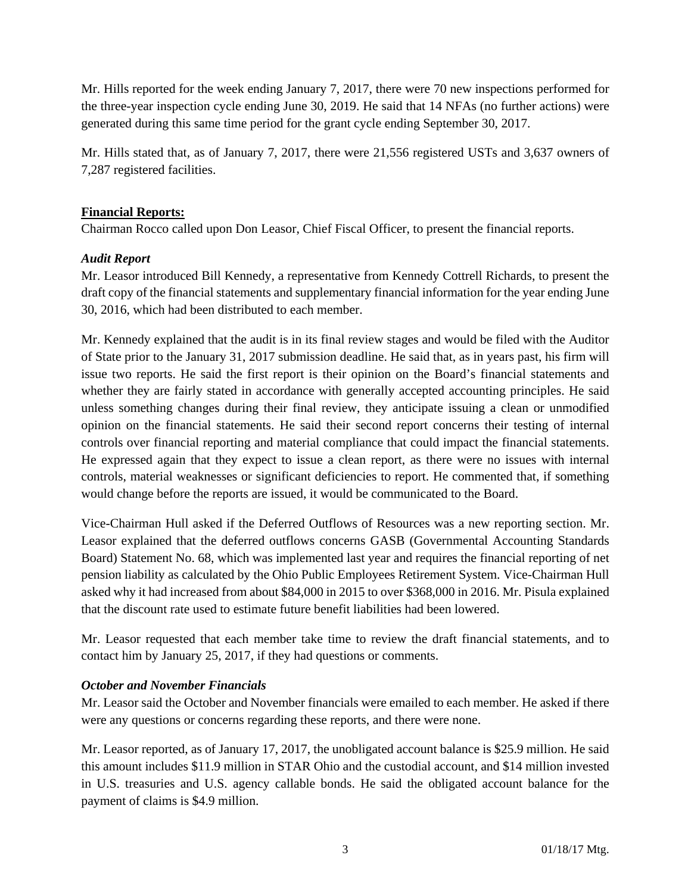Mr. Hills reported for the week ending January 7, 2017, there were 70 new inspections performed for the three-year inspection cycle ending June 30, 2019. He said that 14 NFAs (no further actions) were generated during this same time period for the grant cycle ending September 30, 2017.

Mr. Hills stated that, as of January 7, 2017, there were 21,556 registered USTs and 3,637 owners of 7,287 registered facilities.

#### **Financial Reports:**

Chairman Rocco called upon Don Leasor, Chief Fiscal Officer, to present the financial reports.

## *Audit Report*

Mr. Leasor introduced Bill Kennedy, a representative from Kennedy Cottrell Richards, to present the draft copy of the financial statements and supplementary financial information for the year ending June 30, 2016, which had been distributed to each member.

Mr. Kennedy explained that the audit is in its final review stages and would be filed with the Auditor of State prior to the January 31, 2017 submission deadline. He said that, as in years past, his firm will issue two reports. He said the first report is their opinion on the Board's financial statements and whether they are fairly stated in accordance with generally accepted accounting principles. He said unless something changes during their final review, they anticipate issuing a clean or unmodified opinion on the financial statements. He said their second report concerns their testing of internal controls over financial reporting and material compliance that could impact the financial statements. He expressed again that they expect to issue a clean report, as there were no issues with internal controls, material weaknesses or significant deficiencies to report. He commented that, if something would change before the reports are issued, it would be communicated to the Board.

Vice-Chairman Hull asked if the Deferred Outflows of Resources was a new reporting section. Mr. Leasor explained that the deferred outflows concerns GASB (Governmental Accounting Standards Board) Statement No. 68, which was implemented last year and requires the financial reporting of net pension liability as calculated by the Ohio Public Employees Retirement System. Vice-Chairman Hull asked why it had increased from about \$84,000 in 2015 to over \$368,000 in 2016. Mr. Pisula explained that the discount rate used to estimate future benefit liabilities had been lowered.

Mr. Leasor requested that each member take time to review the draft financial statements, and to contact him by January 25, 2017, if they had questions or comments.

# *October and November Financials*

Mr. Leasor said the October and November financials were emailed to each member. He asked if there were any questions or concerns regarding these reports, and there were none.

Mr. Leasor reported, as of January 17, 2017, the unobligated account balance is \$25.9 million. He said this amount includes \$11.9 million in STAR Ohio and the custodial account, and \$14 million invested in U.S. treasuries and U.S. agency callable bonds. He said the obligated account balance for the payment of claims is \$4.9 million.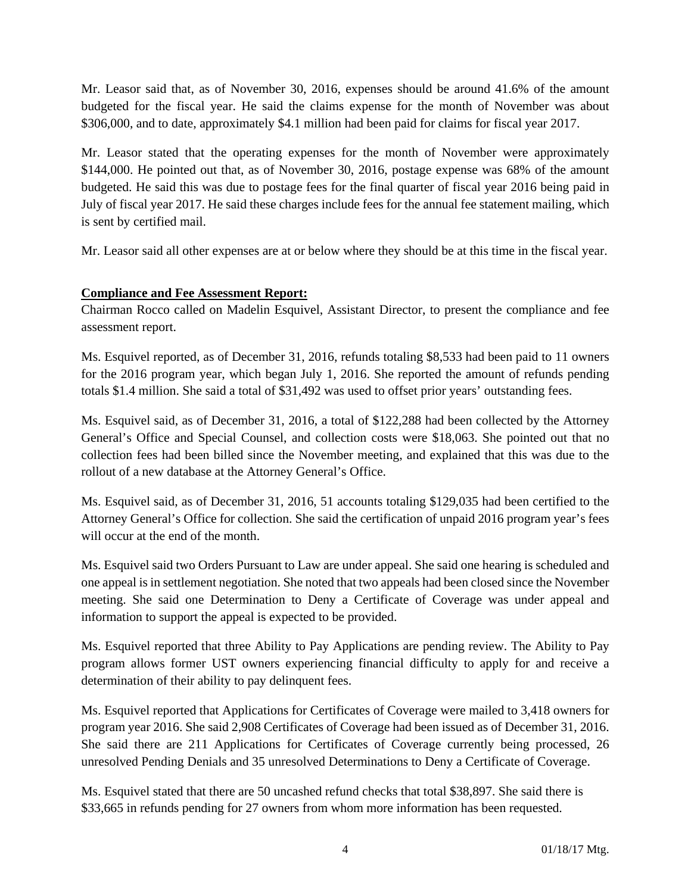Mr. Leasor said that, as of November 30, 2016, expenses should be around 41.6% of the amount budgeted for the fiscal year. He said the claims expense for the month of November was about \$306,000, and to date, approximately \$4.1 million had been paid for claims for fiscal year 2017.

Mr. Leasor stated that the operating expenses for the month of November were approximately \$144,000. He pointed out that, as of November 30, 2016, postage expense was 68% of the amount budgeted. He said this was due to postage fees for the final quarter of fiscal year 2016 being paid in July of fiscal year 2017. He said these charges include fees for the annual fee statement mailing, which is sent by certified mail.

Mr. Leasor said all other expenses are at or below where they should be at this time in the fiscal year.

# **Compliance and Fee Assessment Report:**

Chairman Rocco called on Madelin Esquivel, Assistant Director, to present the compliance and fee assessment report.

Ms. Esquivel reported, as of December 31, 2016, refunds totaling \$8,533 had been paid to 11 owners for the 2016 program year, which began July 1, 2016. She reported the amount of refunds pending totals \$1.4 million. She said a total of \$31,492 was used to offset prior years' outstanding fees.

Ms. Esquivel said, as of December 31, 2016, a total of \$122,288 had been collected by the Attorney General's Office and Special Counsel, and collection costs were \$18,063. She pointed out that no collection fees had been billed since the November meeting, and explained that this was due to the rollout of a new database at the Attorney General's Office.

Ms. Esquivel said, as of December 31, 2016, 51 accounts totaling \$129,035 had been certified to the Attorney General's Office for collection. She said the certification of unpaid 2016 program year's fees will occur at the end of the month.

Ms. Esquivel said two Orders Pursuant to Law are under appeal. She said one hearing is scheduled and one appeal is in settlement negotiation. She noted that two appeals had been closed since the November meeting. She said one Determination to Deny a Certificate of Coverage was under appeal and information to support the appeal is expected to be provided.

Ms. Esquivel reported that three Ability to Pay Applications are pending review. The Ability to Pay program allows former UST owners experiencing financial difficulty to apply for and receive a determination of their ability to pay delinquent fees.

Ms. Esquivel reported that Applications for Certificates of Coverage were mailed to 3,418 owners for program year 2016. She said 2,908 Certificates of Coverage had been issued as of December 31, 2016. She said there are 211 Applications for Certificates of Coverage currently being processed, 26 unresolved Pending Denials and 35 unresolved Determinations to Deny a Certificate of Coverage.

Ms. Esquivel stated that there are 50 uncashed refund checks that total \$38,897. She said there is \$33,665 in refunds pending for 27 owners from whom more information has been requested.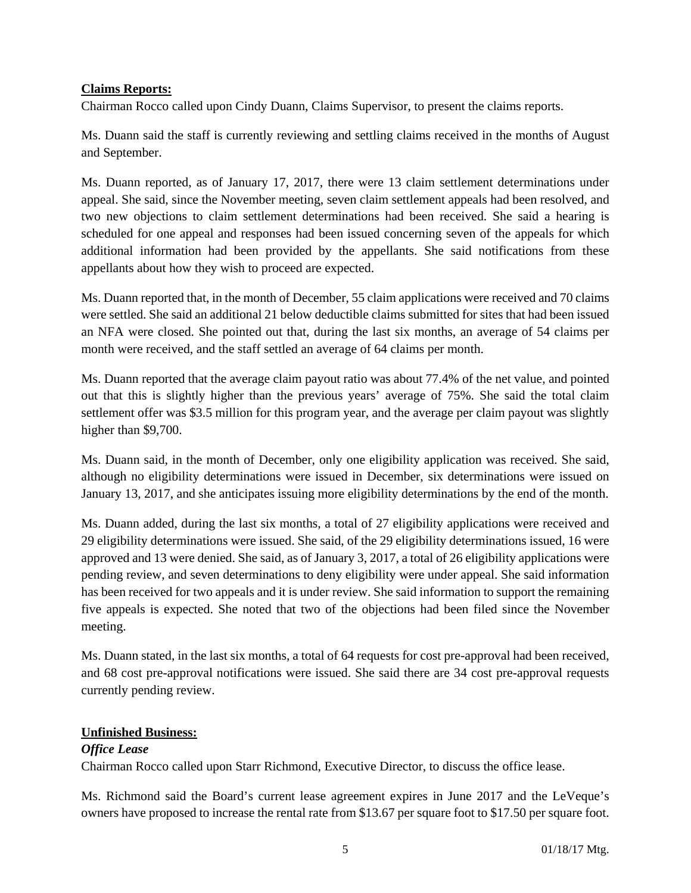#### **Claims Reports:**

Chairman Rocco called upon Cindy Duann, Claims Supervisor, to present the claims reports.

Ms. Duann said the staff is currently reviewing and settling claims received in the months of August and September.

Ms. Duann reported, as of January 17, 2017, there were 13 claim settlement determinations under appeal. She said, since the November meeting, seven claim settlement appeals had been resolved, and two new objections to claim settlement determinations had been received. She said a hearing is scheduled for one appeal and responses had been issued concerning seven of the appeals for which additional information had been provided by the appellants. She said notifications from these appellants about how they wish to proceed are expected.

Ms. Duann reported that, in the month of December, 55 claim applications were received and 70 claims were settled. She said an additional 21 below deductible claims submitted for sites that had been issued an NFA were closed. She pointed out that, during the last six months, an average of 54 claims per month were received, and the staff settled an average of 64 claims per month.

Ms. Duann reported that the average claim payout ratio was about 77.4% of the net value, and pointed out that this is slightly higher than the previous years' average of 75%. She said the total claim settlement offer was \$3.5 million for this program year, and the average per claim payout was slightly higher than \$9,700.

Ms. Duann said, in the month of December, only one eligibility application was received. She said, although no eligibility determinations were issued in December, six determinations were issued on January 13, 2017, and she anticipates issuing more eligibility determinations by the end of the month.

Ms. Duann added, during the last six months, a total of 27 eligibility applications were received and 29 eligibility determinations were issued. She said, of the 29 eligibility determinations issued, 16 were approved and 13 were denied. She said, as of January 3, 2017, a total of 26 eligibility applications were pending review, and seven determinations to deny eligibility were under appeal. She said information has been received for two appeals and it is under review. She said information to support the remaining five appeals is expected. She noted that two of the objections had been filed since the November meeting.

Ms. Duann stated, in the last six months, a total of 64 requests for cost pre-approval had been received, and 68 cost pre-approval notifications were issued. She said there are 34 cost pre-approval requests currently pending review.

#### **Unfinished Business:**

# *Office Lease*

Chairman Rocco called upon Starr Richmond, Executive Director, to discuss the office lease.

Ms. Richmond said the Board's current lease agreement expires in June 2017 and the LeVeque's owners have proposed to increase the rental rate from \$13.67 per square foot to \$17.50 per square foot.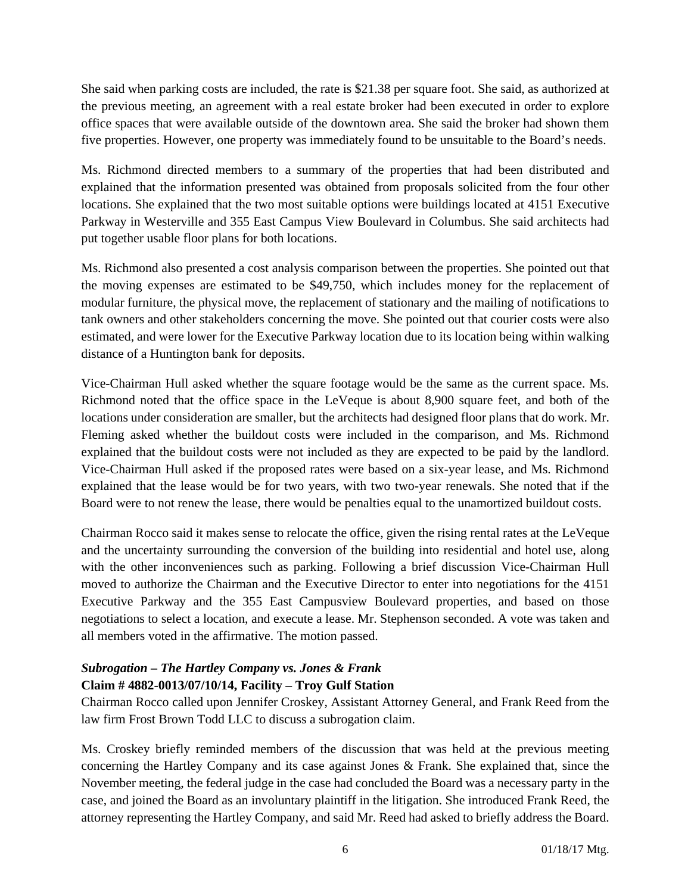She said when parking costs are included, the rate is \$21.38 per square foot. She said, as authorized at the previous meeting, an agreement with a real estate broker had been executed in order to explore office spaces that were available outside of the downtown area. She said the broker had shown them five properties. However, one property was immediately found to be unsuitable to the Board's needs.

Ms. Richmond directed members to a summary of the properties that had been distributed and explained that the information presented was obtained from proposals solicited from the four other locations. She explained that the two most suitable options were buildings located at 4151 Executive Parkway in Westerville and 355 East Campus View Boulevard in Columbus. She said architects had put together usable floor plans for both locations.

Ms. Richmond also presented a cost analysis comparison between the properties. She pointed out that the moving expenses are estimated to be \$49,750, which includes money for the replacement of modular furniture, the physical move, the replacement of stationary and the mailing of notifications to tank owners and other stakeholders concerning the move. She pointed out that courier costs were also estimated, and were lower for the Executive Parkway location due to its location being within walking distance of a Huntington bank for deposits.

Vice-Chairman Hull asked whether the square footage would be the same as the current space. Ms. Richmond noted that the office space in the LeVeque is about 8,900 square feet, and both of the locations under consideration are smaller, but the architects had designed floor plans that do work. Mr. Fleming asked whether the buildout costs were included in the comparison, and Ms. Richmond explained that the buildout costs were not included as they are expected to be paid by the landlord. Vice-Chairman Hull asked if the proposed rates were based on a six-year lease, and Ms. Richmond explained that the lease would be for two years, with two two-year renewals. She noted that if the Board were to not renew the lease, there would be penalties equal to the unamortized buildout costs.

Chairman Rocco said it makes sense to relocate the office, given the rising rental rates at the LeVeque and the uncertainty surrounding the conversion of the building into residential and hotel use, along with the other inconveniences such as parking. Following a brief discussion Vice-Chairman Hull moved to authorize the Chairman and the Executive Director to enter into negotiations for the 4151 Executive Parkway and the 355 East Campusview Boulevard properties, and based on those negotiations to select a location, and execute a lease. Mr. Stephenson seconded. A vote was taken and all members voted in the affirmative. The motion passed.

## *Subrogation – The Hartley Company vs. Jones & Frank*  **Claim # 4882-0013/07/10/14, Facility – Troy Gulf Station**

Chairman Rocco called upon Jennifer Croskey, Assistant Attorney General, and Frank Reed from the law firm Frost Brown Todd LLC to discuss a subrogation claim.

Ms. Croskey briefly reminded members of the discussion that was held at the previous meeting concerning the Hartley Company and its case against Jones & Frank. She explained that, since the November meeting, the federal judge in the case had concluded the Board was a necessary party in the case, and joined the Board as an involuntary plaintiff in the litigation. She introduced Frank Reed, the attorney representing the Hartley Company, and said Mr. Reed had asked to briefly address the Board.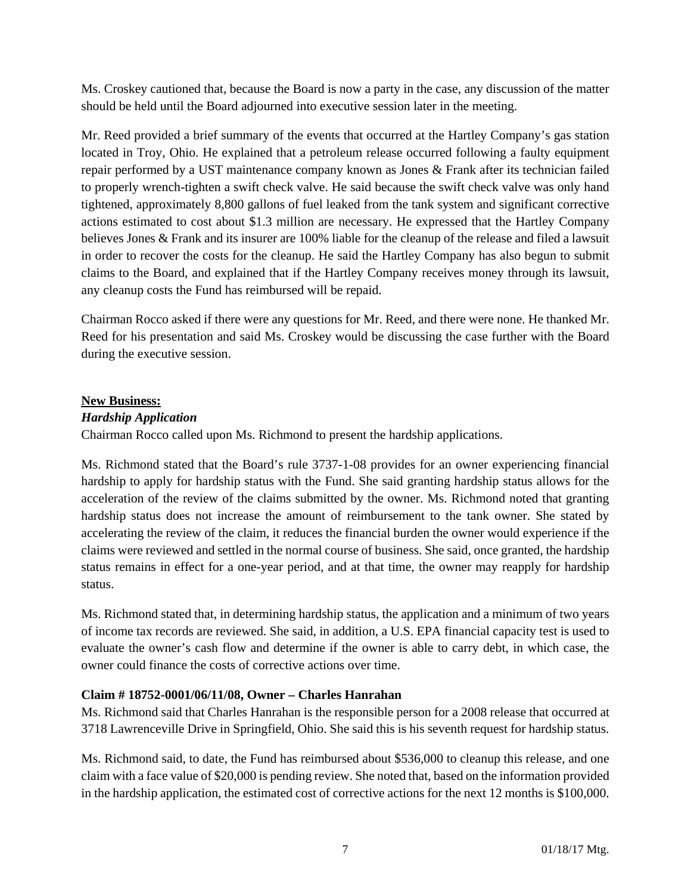Ms. Croskey cautioned that, because the Board is now a party in the case, any discussion of the matter should be held until the Board adjourned into executive session later in the meeting.

Mr. Reed provided a brief summary of the events that occurred at the Hartley Company's gas station located in Troy, Ohio. He explained that a petroleum release occurred following a faulty equipment repair performed by a UST maintenance company known as Jones & Frank after its technician failed to properly wrench-tighten a swift check valve. He said because the swift check valve was only hand tightened, approximately 8,800 gallons of fuel leaked from the tank system and significant corrective actions estimated to cost about \$1.3 million are necessary. He expressed that the Hartley Company believes Jones & Frank and its insurer are 100% liable for the cleanup of the release and filed a lawsuit in order to recover the costs for the cleanup. He said the Hartley Company has also begun to submit claims to the Board, and explained that if the Hartley Company receives money through its lawsuit, any cleanup costs the Fund has reimbursed will be repaid.

Chairman Rocco asked if there were any questions for Mr. Reed, and there were none. He thanked Mr. Reed for his presentation and said Ms. Croskey would be discussing the case further with the Board during the executive session.

#### **New Business:**

## *Hardship Application*

Chairman Rocco called upon Ms. Richmond to present the hardship applications.

Ms. Richmond stated that the Board's rule 3737-1-08 provides for an owner experiencing financial hardship to apply for hardship status with the Fund. She said granting hardship status allows for the acceleration of the review of the claims submitted by the owner. Ms. Richmond noted that granting hardship status does not increase the amount of reimbursement to the tank owner. She stated by accelerating the review of the claim, it reduces the financial burden the owner would experience if the claims were reviewed and settled in the normal course of business. She said, once granted, the hardship status remains in effect for a one-year period, and at that time, the owner may reapply for hardship status.

Ms. Richmond stated that, in determining hardship status, the application and a minimum of two years of income tax records are reviewed. She said, in addition, a U.S. EPA financial capacity test is used to evaluate the owner's cash flow and determine if the owner is able to carry debt, in which case, the owner could finance the costs of corrective actions over time.

#### **Claim # 18752-0001/06/11/08, Owner – Charles Hanrahan**

Ms. Richmond said that Charles Hanrahan is the responsible person for a 2008 release that occurred at 3718 Lawrenceville Drive in Springfield, Ohio. She said this is his seventh request for hardship status.

Ms. Richmond said, to date, the Fund has reimbursed about \$536,000 to cleanup this release, and one claim with a face value of \$20,000 is pending review. She noted that, based on the information provided in the hardship application, the estimated cost of corrective actions for the next 12 months is \$100,000.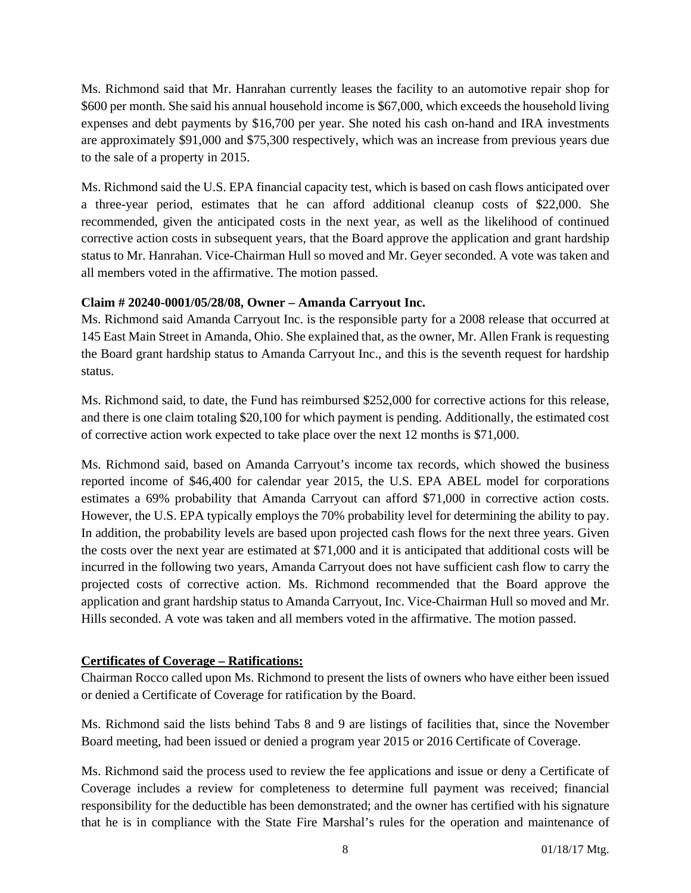Ms. Richmond said that Mr. Hanrahan currently leases the facility to an automotive repair shop for \$600 per month. She said his annual household income is \$67,000, which exceeds the household living expenses and debt payments by \$16,700 per year. She noted his cash on-hand and IRA investments are approximately \$91,000 and \$75,300 respectively, which was an increase from previous years due to the sale of a property in 2015.

Ms. Richmond said the U.S. EPA financial capacity test, which is based on cash flows anticipated over a three-year period, estimates that he can afford additional cleanup costs of \$22,000. She recommended, given the anticipated costs in the next year, as well as the likelihood of continued corrective action costs in subsequent years, that the Board approve the application and grant hardship status to Mr. Hanrahan. Vice-Chairman Hull so moved and Mr. Geyer seconded. A vote was taken and all members voted in the affirmative. The motion passed.

## **Claim # 20240-0001/05/28/08, Owner – Amanda Carryout Inc.**

Ms. Richmond said Amanda Carryout Inc. is the responsible party for a 2008 release that occurred at 145 East Main Street in Amanda, Ohio. She explained that, as the owner, Mr. Allen Frank is requesting the Board grant hardship status to Amanda Carryout Inc., and this is the seventh request for hardship status.

Ms. Richmond said, to date, the Fund has reimbursed \$252,000 for corrective actions for this release, and there is one claim totaling \$20,100 for which payment is pending. Additionally, the estimated cost of corrective action work expected to take place over the next 12 months is \$71,000.

Ms. Richmond said, based on Amanda Carryout's income tax records, which showed the business reported income of \$46,400 for calendar year 2015, the U.S. EPA ABEL model for corporations estimates a 69% probability that Amanda Carryout can afford \$71,000 in corrective action costs. However, the U.S. EPA typically employs the 70% probability level for determining the ability to pay. In addition, the probability levels are based upon projected cash flows for the next three years. Given the costs over the next year are estimated at \$71,000 and it is anticipated that additional costs will be incurred in the following two years, Amanda Carryout does not have sufficient cash flow to carry the projected costs of corrective action. Ms. Richmond recommended that the Board approve the application and grant hardship status to Amanda Carryout, Inc. Vice-Chairman Hull so moved and Mr. Hills seconded. A vote was taken and all members voted in the affirmative. The motion passed.

# **Certificates of Coverage – Ratifications:**

Chairman Rocco called upon Ms. Richmond to present the lists of owners who have either been issued or denied a Certificate of Coverage for ratification by the Board.

Ms. Richmond said the lists behind Tabs 8 and 9 are listings of facilities that, since the November Board meeting, had been issued or denied a program year 2015 or 2016 Certificate of Coverage.

Ms. Richmond said the process used to review the fee applications and issue or deny a Certificate of Coverage includes a review for completeness to determine full payment was received; financial responsibility for the deductible has been demonstrated; and the owner has certified with his signature that he is in compliance with the State Fire Marshal's rules for the operation and maintenance of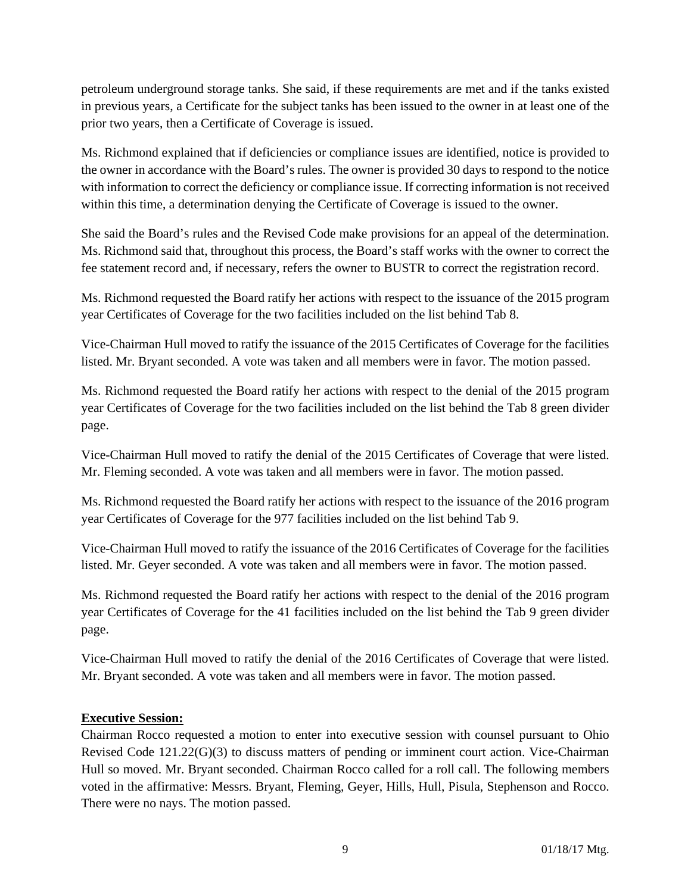petroleum underground storage tanks. She said, if these requirements are met and if the tanks existed in previous years, a Certificate for the subject tanks has been issued to the owner in at least one of the prior two years, then a Certificate of Coverage is issued.

Ms. Richmond explained that if deficiencies or compliance issues are identified, notice is provided to the owner in accordance with the Board's rules. The owner is provided 30 days to respond to the notice with information to correct the deficiency or compliance issue. If correcting information is not received within this time, a determination denying the Certificate of Coverage is issued to the owner.

She said the Board's rules and the Revised Code make provisions for an appeal of the determination. Ms. Richmond said that, throughout this process, the Board's staff works with the owner to correct the fee statement record and, if necessary, refers the owner to BUSTR to correct the registration record.

Ms. Richmond requested the Board ratify her actions with respect to the issuance of the 2015 program year Certificates of Coverage for the two facilities included on the list behind Tab 8.

Vice-Chairman Hull moved to ratify the issuance of the 2015 Certificates of Coverage for the facilities listed. Mr. Bryant seconded. A vote was taken and all members were in favor. The motion passed.

Ms. Richmond requested the Board ratify her actions with respect to the denial of the 2015 program year Certificates of Coverage for the two facilities included on the list behind the Tab 8 green divider page.

Vice-Chairman Hull moved to ratify the denial of the 2015 Certificates of Coverage that were listed. Mr. Fleming seconded. A vote was taken and all members were in favor. The motion passed.

Ms. Richmond requested the Board ratify her actions with respect to the issuance of the 2016 program year Certificates of Coverage for the 977 facilities included on the list behind Tab 9.

Vice-Chairman Hull moved to ratify the issuance of the 2016 Certificates of Coverage for the facilities listed. Mr. Geyer seconded. A vote was taken and all members were in favor. The motion passed.

Ms. Richmond requested the Board ratify her actions with respect to the denial of the 2016 program year Certificates of Coverage for the 41 facilities included on the list behind the Tab 9 green divider page.

Vice-Chairman Hull moved to ratify the denial of the 2016 Certificates of Coverage that were listed. Mr. Bryant seconded. A vote was taken and all members were in favor. The motion passed.

#### **Executive Session:**

Chairman Rocco requested a motion to enter into executive session with counsel pursuant to Ohio Revised Code 121.22(G)(3) to discuss matters of pending or imminent court action. Vice-Chairman Hull so moved. Mr. Bryant seconded. Chairman Rocco called for a roll call. The following members voted in the affirmative: Messrs. Bryant, Fleming, Geyer, Hills, Hull, Pisula, Stephenson and Rocco. There were no nays. The motion passed.